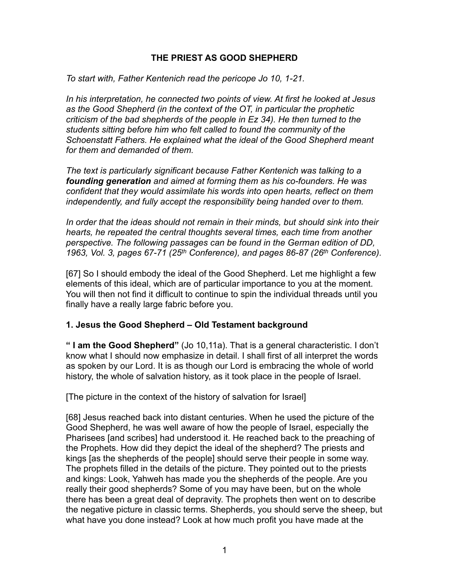### **THE PRIEST AS GOOD SHEPHERD**

*To start with, Father Kentenich read the pericope Jo 10, 1-21.* 

*In his interpretation, he connected two points of view. At first he looked at Jesus as the Good Shepherd (in the context of the OT, in particular the prophetic criticism of the bad shepherds of the people in Ez 34). He then turned to the students sitting before him who felt called to found the community of the Schoenstatt Fathers. He explained what the ideal of the Good Shepherd meant for them and demanded of them.* 

*The text is particularly significant because Father Kentenich was talking to a founding generation and aimed at forming them as his co-founders. He was confident that they would assimilate his words into open hearts, reflect on them independently, and fully accept the responsibility being handed over to them.* 

*In order that the ideas should not remain in their minds, but should sink into their hearts, he repeated the central thoughts several times, each time from another perspective. The following passages can be found in the German edition of DD, 1963, Vol. 3, pages 67-71 (25th Conference), and pages 86-87 (26th Conference).* 

[67] So I should embody the ideal of the Good Shepherd. Let me highlight a few elements of this ideal, which are of particular importance to you at the moment. You will then not find it difficult to continue to spin the individual threads until you finally have a really large fabric before you.

### **1. Jesus the Good Shepherd – Old Testament background**

**" I am the Good Shepherd"** (Jo 10,11a). That is a general characteristic. I don't know what I should now emphasize in detail. I shall first of all interpret the words as spoken by our Lord. It is as though our Lord is embracing the whole of world history, the whole of salvation history, as it took place in the people of Israel.

[The picture in the context of the history of salvation for Israel]

[68] Jesus reached back into distant centuries. When he used the picture of the Good Shepherd, he was well aware of how the people of Israel, especially the Pharisees [and scribes] had understood it. He reached back to the preaching of the Prophets. How did they depict the ideal of the shepherd? The priests and kings [as the shepherds of the people] should serve their people in some way. The prophets filled in the details of the picture. They pointed out to the priests and kings: Look, Yahweh has made you the shepherds of the people. Are you really their good shepherds? Some of you may have been, but on the whole there has been a great deal of depravity. The prophets then went on to describe the negative picture in classic terms. Shepherds, you should serve the sheep, but what have you done instead? Look at how much profit you have made at the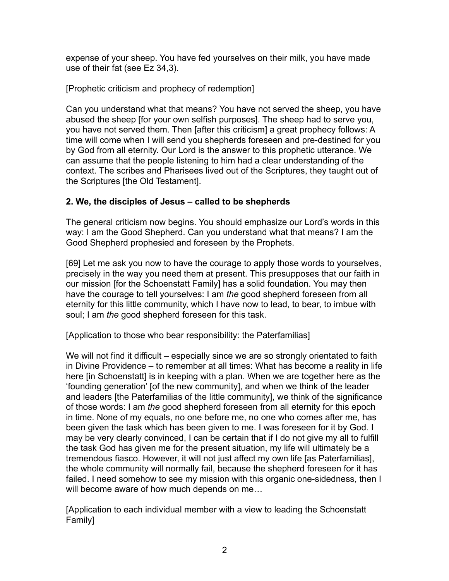expense of your sheep. You have fed yourselves on their milk, you have made use of their fat (see Ez 34,3).

[Prophetic criticism and prophecy of redemption]

Can you understand what that means? You have not served the sheep, you have abused the sheep [for your own selfish purposes]. The sheep had to serve you, you have not served them. Then [after this criticism] a great prophecy follows: A time will come when I will send you shepherds foreseen and pre-destined for you by God from all eternity. Our Lord is the answer to this prophetic utterance. We can assume that the people listening to him had a clear understanding of the context. The scribes and Pharisees lived out of the Scriptures, they taught out of the Scriptures [the Old Testament].

# **2. We, the disciples of Jesus – called to be shepherds**

The general criticism now begins. You should emphasize our Lord's words in this way: I am the Good Shepherd. Can you understand what that means? I am the Good Shepherd prophesied and foreseen by the Prophets.

[69] Let me ask you now to have the courage to apply those words to yourselves, precisely in the way you need them at present. This presupposes that our faith in our mission [for the Schoenstatt Family] has a solid foundation. You may then have the courage to tell yourselves: I am *the* good shepherd foreseen from all eternity for this little community, which I have now to lead, to bear, to imbue with soul; I am *the* good shepherd foreseen for this task.

[Application to those who bear responsibility: the Paterfamilias]

We will not find it difficult – especially since we are so strongly orientated to faith in Divine Providence – to remember at all times: What has become a reality in life here [in Schoenstatt] is in keeping with a plan. When we are together here as the 'founding generation' [of the new community], and when we think of the leader and leaders [the Paterfamilias of the little community], we think of the significance of those words: I am *the* good shepherd foreseen from all eternity for this epoch in time. None of my equals, no one before me, no one who comes after me, has been given the task which has been given to me. I was foreseen for it by God. I may be very clearly convinced, I can be certain that if I do not give my all to fulfill the task God has given me for the present situation, my life will ultimately be a tremendous fiasco. However, it will not just affect my own life [as Paterfamilias], the whole community will normally fail, because the shepherd foreseen for it has failed. I need somehow to see my mission with this organic one-sidedness, then I will become aware of how much depends on me…

[Application to each individual member with a view to leading the Schoenstatt Family]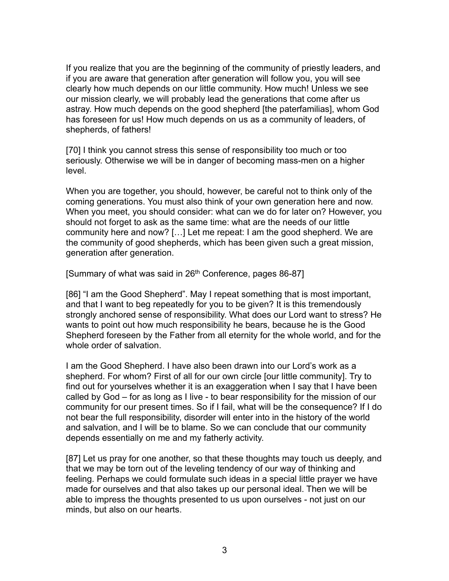If you realize that you are the beginning of the community of priestly leaders, and if you are aware that generation after generation will follow you, you will see clearly how much depends on our little community. How much! Unless we see our mission clearly, we will probably lead the generations that come after us astray. How much depends on the good shepherd [the paterfamilias], whom God has foreseen for us! How much depends on us as a community of leaders, of shepherds, of fathers!

[70] I think you cannot stress this sense of responsibility too much or too seriously. Otherwise we will be in danger of becoming mass-men on a higher level.

When you are together, you should, however, be careful not to think only of the coming generations. You must also think of your own generation here and now. When you meet, you should consider: what can we do for later on? However, you should not forget to ask as the same time: what are the needs of our little community here and now? […] Let me repeat: I am the good shepherd. We are the community of good shepherds, which has been given such a great mission, generation after generation.

[Summary of what was said in 26<sup>th</sup> Conference, pages 86-87]

[86] "I am the Good Shepherd". May I repeat something that is most important, and that I want to beg repeatedly for you to be given? It is this tremendously strongly anchored sense of responsibility. What does our Lord want to stress? He wants to point out how much responsibility he bears, because he is the Good Shepherd foreseen by the Father from all eternity for the whole world, and for the whole order of salvation.

I am the Good Shepherd. I have also been drawn into our Lord's work as a shepherd. For whom? First of all for our own circle [our little community]. Try to find out for yourselves whether it is an exaggeration when I say that I have been called by God – for as long as I live - to bear responsibility for the mission of our community for our present times. So if I fail, what will be the consequence? If I do not bear the full responsibility, disorder will enter into in the history of the world and salvation, and I will be to blame. So we can conclude that our community depends essentially on me and my fatherly activity.

[87] Let us pray for one another, so that these thoughts may touch us deeply, and that we may be torn out of the leveling tendency of our way of thinking and feeling. Perhaps we could formulate such ideas in a special little prayer we have made for ourselves and that also takes up our personal ideal. Then we will be able to impress the thoughts presented to us upon ourselves - not just on our minds, but also on our hearts.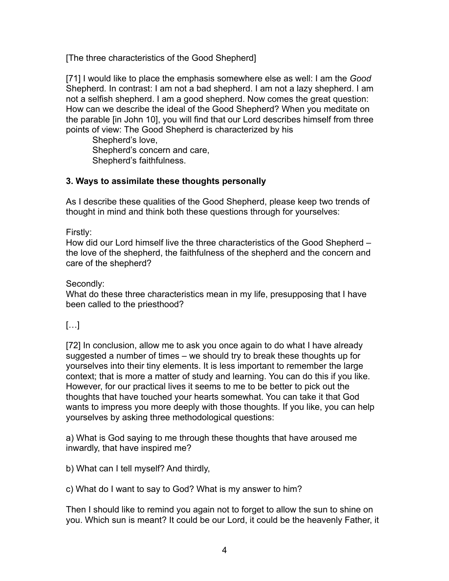[The three characteristics of the Good Shepherd]

[71] I would like to place the emphasis somewhere else as well: I am the *Good*  Shepherd*.* In contrast: I am not a bad shepherd. I am not a lazy shepherd. I am not a selfish shepherd. I am a good shepherd. Now comes the great question: How can we describe the ideal of the Good Shepherd? When you meditate on the parable [in John 10], you will find that our Lord describes himself from three points of view: The Good Shepherd is characterized by his

 Shepherd's love, Shepherd's concern and care, Shepherd's faithfulness.

# **3. Ways to assimilate these thoughts personally**

As I describe these qualities of the Good Shepherd, please keep two trends of thought in mind and think both these questions through for yourselves:

Firstly:

How did our Lord himself live the three characteristics of the Good Shepherd – the love of the shepherd, the faithfulness of the shepherd and the concern and care of the shepherd?

### Secondly:

What do these three characteristics mean in my life, presupposing that I have been called to the priesthood?

# $[...]$

[72] In conclusion, allow me to ask you once again to do what I have already suggested a number of times – we should try to break these thoughts up for yourselves into their tiny elements. It is less important to remember the large context; that is more a matter of study and learning. You can do this if you like. However, for our practical lives it seems to me to be better to pick out the thoughts that have touched your hearts somewhat. You can take it that God wants to impress you more deeply with those thoughts. If you like, you can help yourselves by asking three methodological questions:

a) What is God saying to me through these thoughts that have aroused me inwardly, that have inspired me?

b) What can I tell myself? And thirdly,

c) What do I want to say to God? What is my answer to him?

Then I should like to remind you again not to forget to allow the sun to shine on you. Which sun is meant? It could be our Lord, it could be the heavenly Father, it